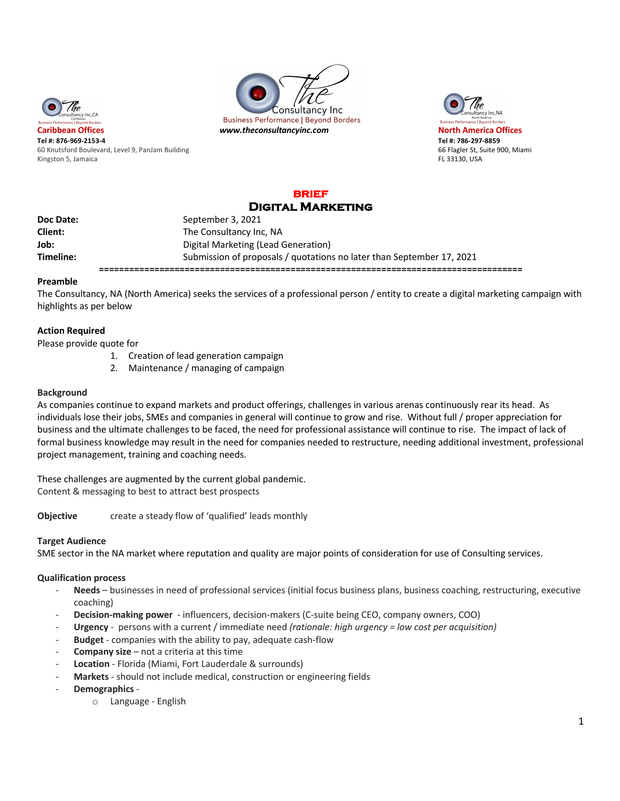





**Tel #: 876-969-2153-4 Tel #: 786-297-8859** 60 Knutsford Boulevard, Level 9, PanJam Building 66 Flagler St, Suite 900, Miami Kingston 5, Jamaica **FL 33130, USA** FL 33130, USA

#### **brief**  DIGITAL **MADVETING**

|           | ___________________                                                   |
|-----------|-----------------------------------------------------------------------|
| Doc Date: | September 3, 2021                                                     |
| Client:   | The Consultancy Inc, NA                                               |
| Job:      | Digital Marketing (Lead Generation)                                   |
| Timeline: | Submission of proposals / quotations no later than September 17, 2021 |
|           |                                                                       |

## **Preamble**

The Consultancy, NA (North America) seeks the services of a professional person / entity to create a digital marketing campaign with highlights as per below

# **Action Required**

Please provide quote for

- 1. Creation of lead generation campaign
- 2. Maintenance / managing of campaign

### **Background**

As companies continue to expand markets and product offerings, challenges in various arenas continuously rear its head. As individuals lose their jobs, SMEs and companies in general will continue to grow and rise. Without full / proper appreciation for business and the ultimate challenges to be faced, the need for professional assistance will continue to rise. The impact of lack of formal business knowledge may result in the need for companies needed to restructure, needing additional investment, professional project management, training and coaching needs.

These challenges are augmented by the current global pandemic. Content & messaging to best to attract best prospects

**Objective** create a steady flow of 'qualified' leads monthly

## **Target Audience**

SME sector in the NA market where reputation and quality are major points of consideration for use of Consulting services.

### **Qualification process**

- Needs businesses in need of professional services (initial focus business plans, business coaching, restructuring, executive coaching)
- **Decision-making power** influencers, decision-makers (C-suite being CEO, company owners, COO)
- **Urgency** persons with a current / immediate need *(rationale: high urgency = low cost per acquisition)*
- **Budget**  companies with the ability to pay, adequate cash-flow
- **Company size** not a criteria at this time
- **Location** Florida (Miami, Fort Lauderdale & surrounds)
- Markets should not include medical, construction or engineering fields
- **Demographics**
	- o Language English